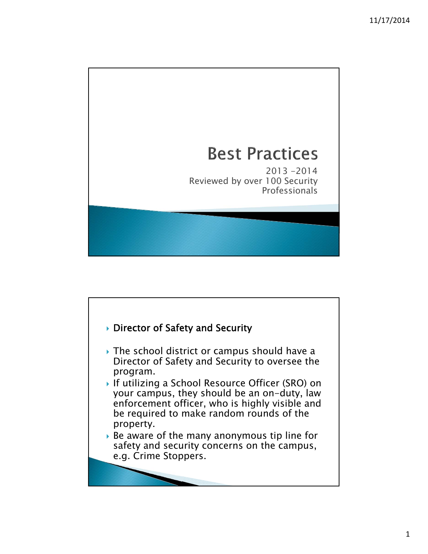## **Best Practices**

2013 -2014 Reviewed by over 100 Security **Professionals** 

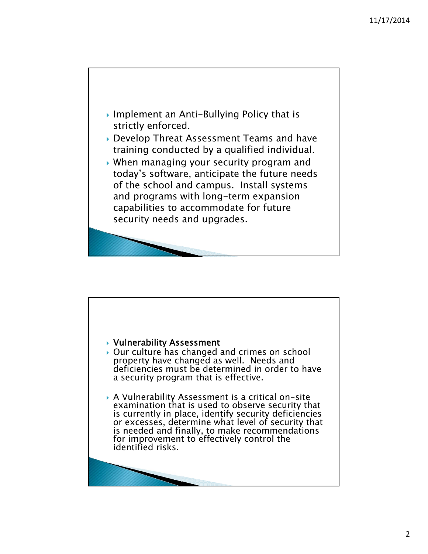

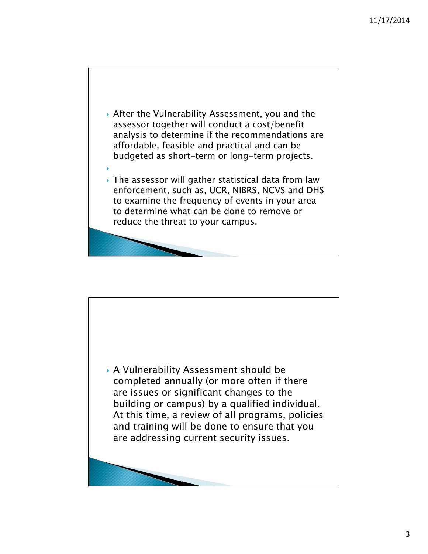

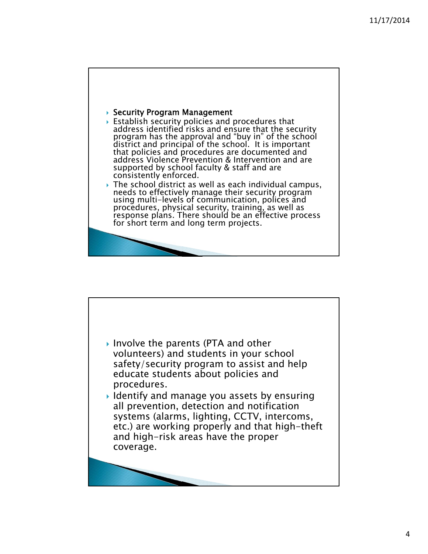

- $\blacktriangleright$  Establish security policies and procedures that address identified risks and ensure that the security program has the approval and "buy in" of the school district and principal of the school. It is important that policies and procedures are documented and address Violence Prevention & Intervention and are supported by school faculty & staff and are consistently enforced.
- ▶ The school district as well as each individual campus, needs to effectively manage their security program using multi-levels of communication, polices and procedures, physical security, training, as well as response plans. There should be an effective process for short term and long term projects.

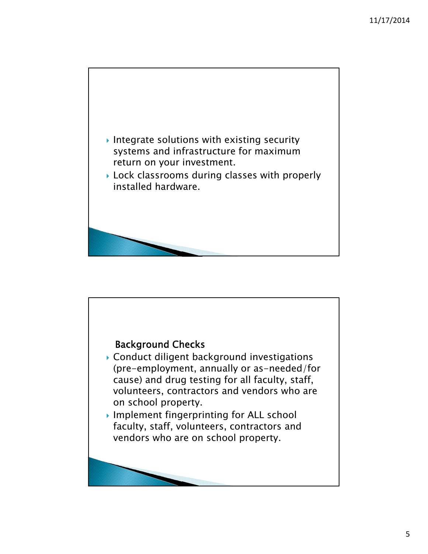

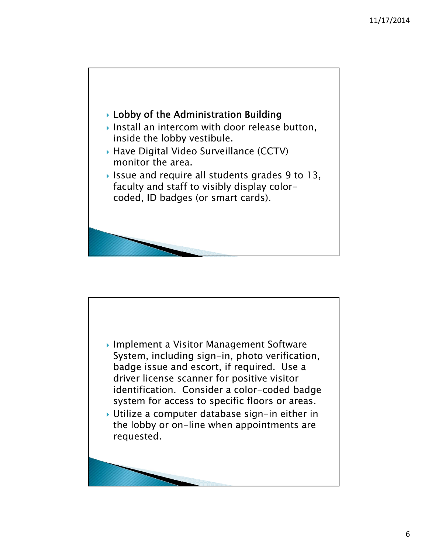

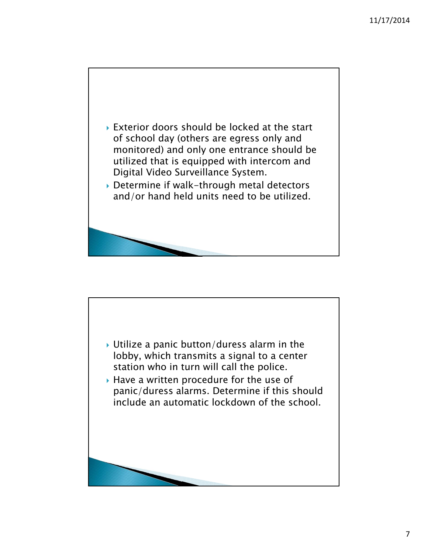

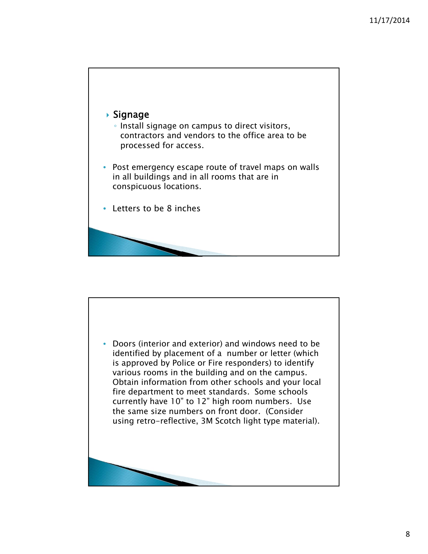

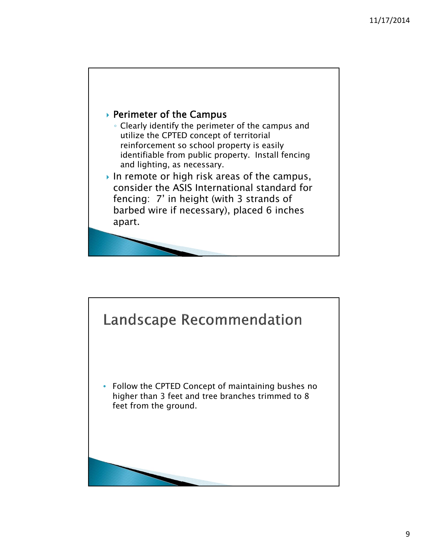

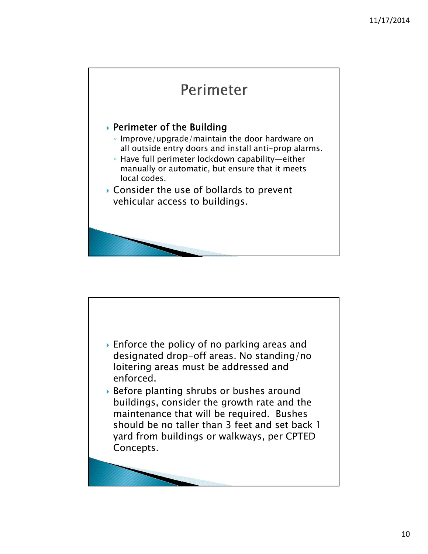

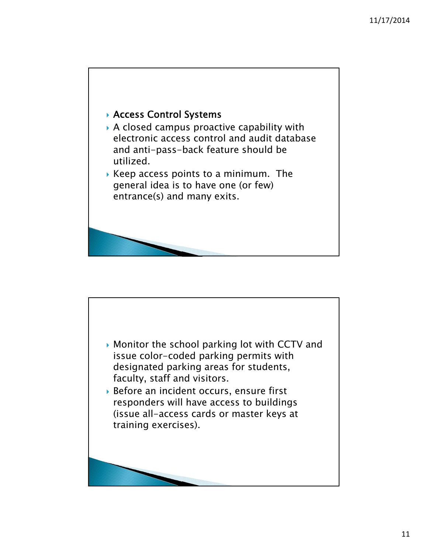

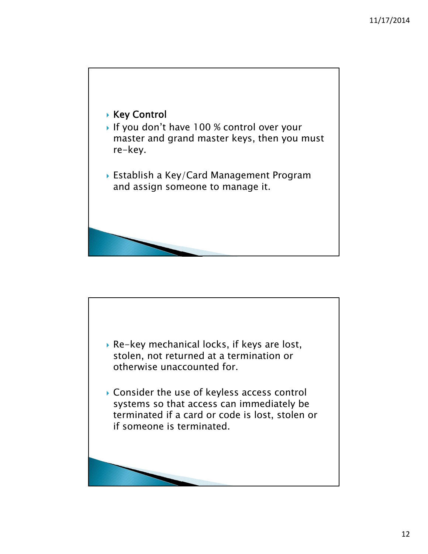

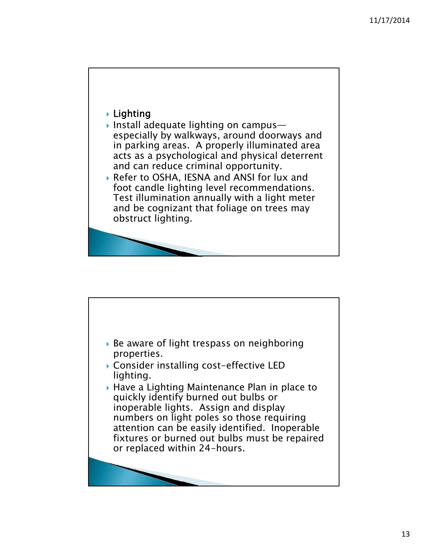## **Lighting**

- Install adequate lighting on campus especially by walkways, around doorways and in parking areas. A properly illuminated area acts as a psychological and physical deterrent and can reduce criminal opportunity.
- Refer to OSHA, IESNA and ANSI for lux and foot candle lighting level recommendations. Test illumination annually with a light meter and be cognizant that foliage on trees may obstruct lighting.

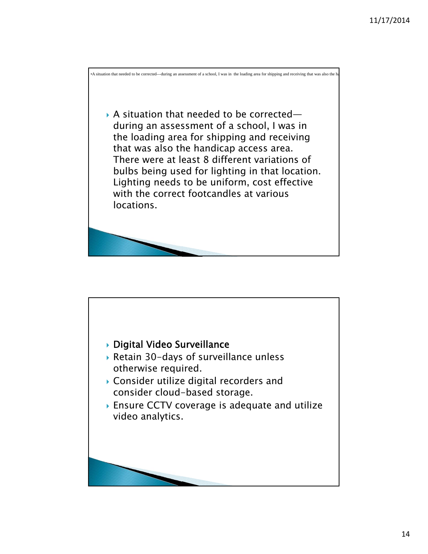

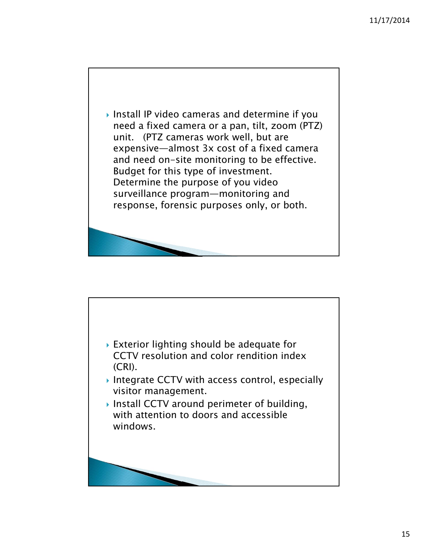

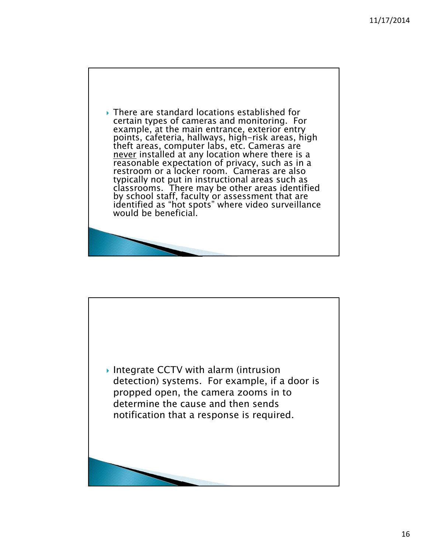

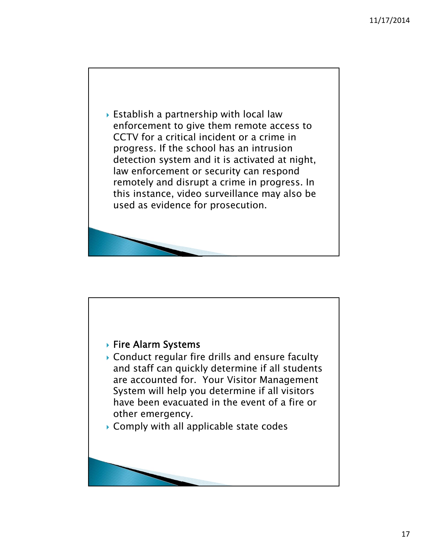

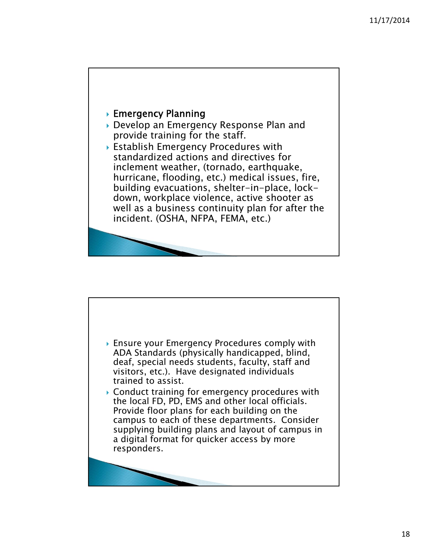

- Develop an Emergency Response Plan and provide training for the staff.
- Establish Emergency Procedures with standardized actions and directives for inclement weather, (tornado, earthquake, hurricane, flooding, etc.) medical issues, fire, building evacuations, shelter-in-place, lockdown, workplace violence, active shooter as well as a business continuity plan for after the incident. (OSHA, NFPA, FEMA, etc.)

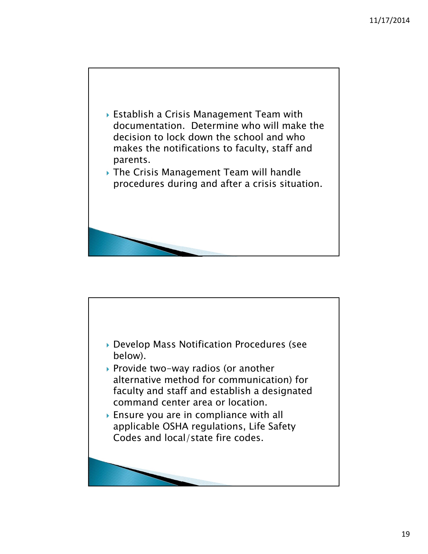

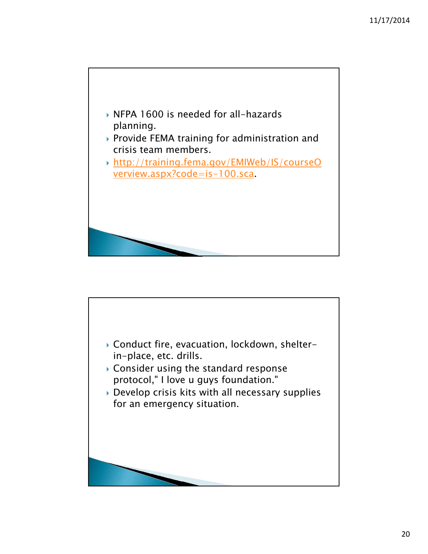

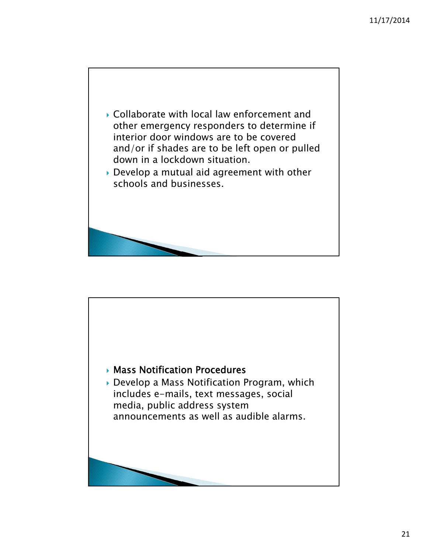

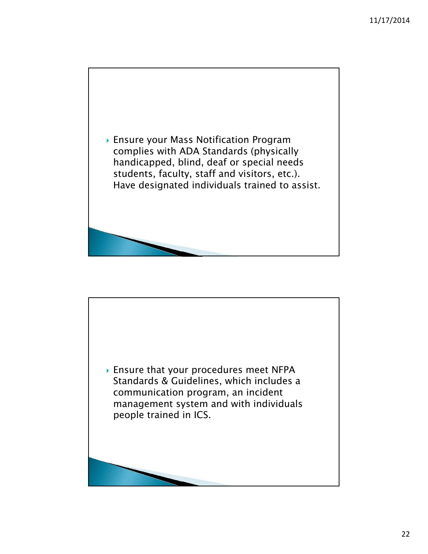

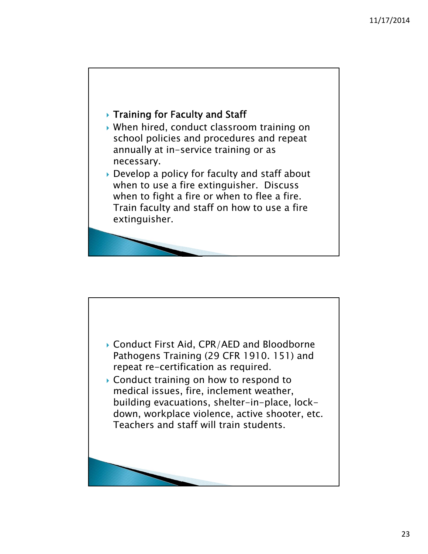

- When hired, conduct classroom training on school policies and procedures and repeat annually at in-service training or as necessary.
- ▶ Develop a policy for faculty and staff about when to use a fire extinguisher. Discuss when to fight a fire or when to flee a fire. Train faculty and staff on how to use a fire extinguisher.

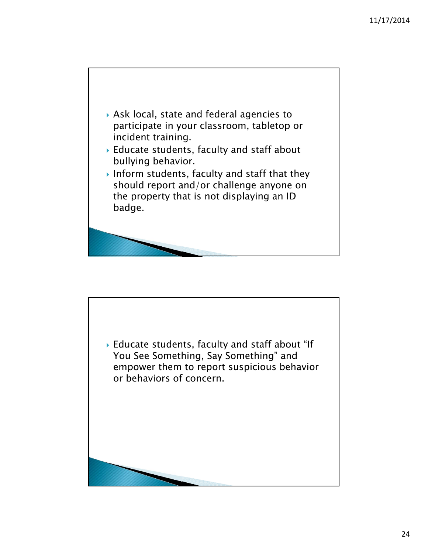

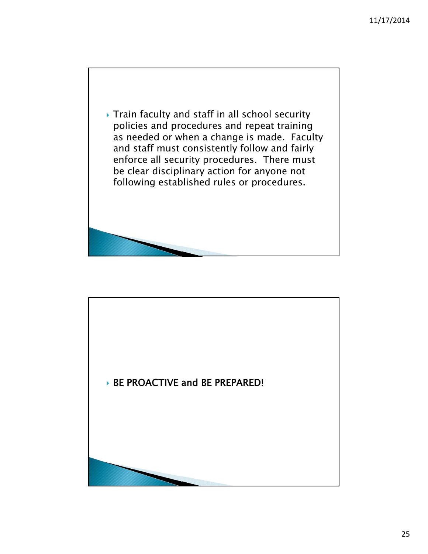